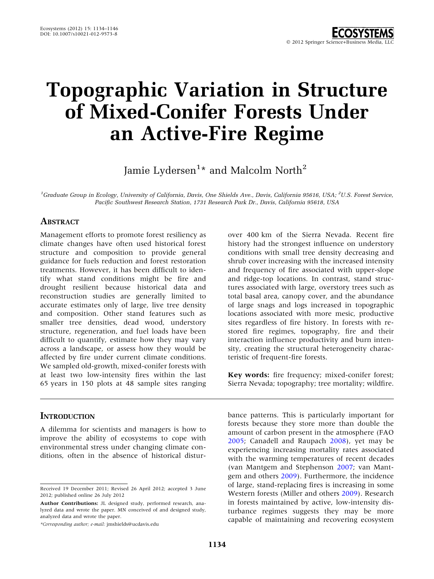# Topographic Variation in Structure of Mixed-Conifer Forests Under an Active-Fire Regime

Jamie Lydersen $^{1\star}$  and Malcolm North $^2$ 

<sup>1</sup>Graduate Group in Ecology, University of California, Davis, One Shields Ave., Davis, California 95616, USA; <sup>2</sup>U.S. Forest Service, Pacific Southwest Research Station, 1731 Research Park Dr., Davis, California 95618, USA

## **ABSTRACT**

Management efforts to promote forest resiliency as climate changes have often used historical forest structure and composition to provide general guidance for fuels reduction and forest restoration treatments. However, it has been difficult to identify what stand conditions might be fire and drought resilient because historical data and reconstruction studies are generally limited to accurate estimates only of large, live tree density and composition. Other stand features such as smaller tree densities, dead wood, understory structure, regeneration, and fuel loads have been difficult to quantify, estimate how they may vary across a landscape, or assess how they would be affected by fire under current climate conditions. We sampled old-growth, mixed-conifer forests with at least two low-intensity fires within the last 65 years in 150 plots at 48 sample sites ranging

#### **INTRODUCTION**

A dilemma for scientists and managers is how to improve the ability of ecosystems to cope with environmental stress under changing climate conditions, often in the absence of historical distur-

\*Corresponding author; e-mail: jmshields@ucdavis.edu

over 400 km of the Sierra Nevada. Recent fire history had the strongest influence on understory conditions with small tree density decreasing and shrub cover increasing with the increased intensity and frequency of fire associated with upper-slope and ridge-top locations. In contrast, stand structures associated with large, overstory trees such as total basal area, canopy cover, and the abundance of large snags and logs increased in topographic locations associated with more mesic, productive sites regardless of fire history. In forests with restored fire regimes, topography, fire and their interaction influence productivity and burn intensity, creating the structural heterogeneity characteristic of frequent-fire forests.

Key words: fire frequency; mixed-conifer forest; Sierra Nevada; topography; tree mortality; wildfire.

bance patterns. This is particularly important for forests because they store more than double the amount of carbon present in the atmosphere (FAO [2005;](#page-11-0) Canadell and Raupach [2008\)](#page-11-0), yet may be experiencing increasing mortality rates associated with the warming temperatures of recent decades (van Mantgem and Stephenson [2007](#page-12-0); van Mantgem and others [2009](#page-12-0)). Furthermore, the incidence of large, stand-replacing fires is increasing in some Western forests (Miller and others [2009](#page-11-0)). Research in forests maintained by active, low-intensity disturbance regimes suggests they may be more capable of maintaining and recovering ecosystem

Received 19 December 2011; Revised 26 April 2012; accepted 3 June 2012; published online 26 July 2012

Author Contributions: JL designed study, performed research, analyzed data and wrote the paper. MN conceived of and designed study, analyzed data and wrote the paper.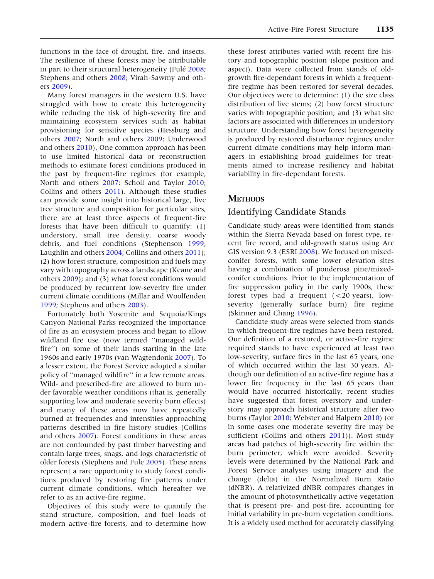functions in the face of drought, fire, and insects. The resilience of these forests may be attributable in part to their structural heterogeneity (Fulé [2008](#page-11-0); Stephens and others [2008](#page-12-0); Virah-Sawmy and others [2009\)](#page-12-0).

Many forest managers in the western U.S. have struggled with how to create this heterogeneity while reducing the risk of high-severity fire and maintaining ecosystem services such as habitat provisioning for sensitive species (Hessburg and others [2007](#page-11-0); North and others [2009](#page-11-0); Underwood and others [2010\)](#page-12-0). One common approach has been to use limited historical data or reconstruction methods to estimate forest conditions produced in the past by frequent-fire regimes (for example, North and others [2007](#page-11-0); Scholl and Taylor [2010](#page-12-0); Collins and others [2011\)](#page-11-0). Although these studies can provide some insight into historical large, live tree structure and composition for particular sites, there are at least three aspects of frequent-fire forests that have been difficult to quantify: (1) understory, small tree density, coarse woody debris, and fuel conditions (Stephenson [1999](#page-12-0); Laughlin and others [2004](#page-11-0); Collins and others [2011](#page-11-0)); (2) how forest structure, composition and fuels may vary with topography across a landscape (Keane and others [2009](#page-11-0)); and (3) what forest conditions would be produced by recurrent low-severity fire under current climate conditions (Millar and Woolfenden [1999;](#page-11-0) Stephens and others [2003](#page-12-0)).

Fortunately both Yosemite and Sequoia/Kings Canyon National Parks recognized the importance of fire as an ecosystem process and began to allow wildland fire use (now termed ''managed wildfire'') on some of their lands starting in the late 1960s and early 1970s (van Wagtendonk [2007\)](#page-12-0). To a lesser extent, the Forest Service adopted a similar policy of ''managed wildfire'' in a few remote areas. Wild- and prescribed-fire are allowed to burn under favorable weather conditions (that is, generally supporting low and moderate severity burn effects) and many of these areas now have repeatedly burned at frequencies and intensities approaching patterns described in fire history studies (Collins and others [2007\)](#page-11-0). Forest conditions in these areas are not confounded by past timber harvesting and contain large trees, snags, and logs characteristic of older forests (Stephens and Fule [2005\)](#page-12-0). These areas represent a rare opportunity to study forest conditions produced by restoring fire patterns under current climate conditions, which hereafter we refer to as an active-fire regime.

Objectives of this study were to quantify the stand structure, composition, and fuel loads of modern active-fire forests, and to determine how

these forest attributes varied with recent fire history and topographic position (slope position and aspect). Data were collected from stands of oldgrowth fire-dependant forests in which a frequentfire regime has been restored for several decades. Our objectives were to determine: (1) the size class distribution of live stems; (2) how forest structure varies with topographic position; and (3) what site factors are associated with differences in understory structure. Understanding how forest heterogeneity is produced by restored disturbance regimes under current climate conditions may help inform managers in establishing broad guidelines for treatments aimed to increase resiliency and habitat variability in fire-dependant forests.

## **METHODS**

## Identifying Candidate Stands

Candidate study areas were identified from stands within the Sierra Nevada based on forest type, recent fire record, and old-growth status using Arc GIS version 9.3 (ESRI [2008](#page-11-0)). We focused on mixedconifer forests, with some lower elevation sites having a combination of ponderosa pine/mixedconifer conditions. Prior to the implementation of fire suppression policy in the early 1900s, these forest types had a frequent  $( $20$  years), low$ severity (generally surface burn) fire regime (Skinner and Chang [1996](#page-12-0)).

Candidate study areas were selected from stands in which frequent-fire regimes have been restored. Our definition of a restored, or active-fire regime required stands to have experienced at least two low-severity, surface fires in the last 65 years, one of which occurred within the last 30 years. Although our definition of an active-fire regime has a lower fire frequency in the last 65 years than would have occurred historically, recent studies have suggested that forest overstory and understory may approach historical structure after two burns (Taylor [2010](#page-12-0); Webster and Halpern [2010\)](#page-12-0) (or in some cases one moderate severity fire may be sufficient (Collins and others [2011\)](#page-11-0)). Most study areas had patches of high-severity fire within the burn perimeter, which were avoided. Severity levels were determined by the National Park and Forest Service analyses using imagery and the change (delta) in the Normalized Burn Ratio (dNBR). A relativized dNBR compares changes in the amount of photosynthetically active vegetation that is present pre- and post-fire, accounting for initial variability in pre-burn vegetation conditions. It is a widely used method for accurately classifying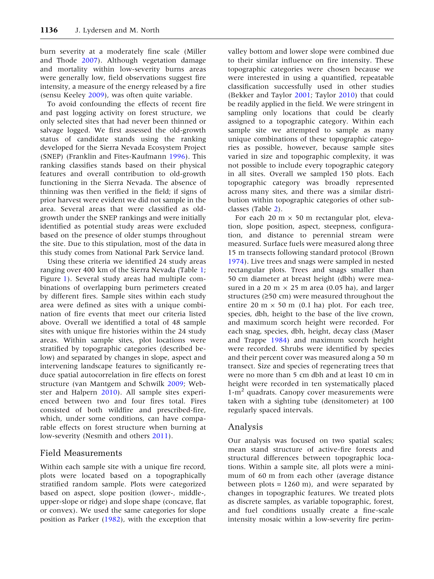burn severity at a moderately fine scale (Miller and Thode [2007\)](#page-11-0). Although vegetation damage and mortality within low-severity burns areas were generally low, field observations suggest fire intensity, a measure of the energy released by a fire (sensu Keeley [2009\)](#page-11-0), was often quite variable.

To avoid confounding the effects of recent fire and past logging activity on forest structure, we only selected sites that had never been thinned or salvage logged. We first assessed the old-growth status of candidate stands using the ranking developed for the Sierra Nevada Ecosystem Project (SNEP) (Franklin and Fites-Kaufmann [1996](#page-11-0)). This ranking classifies stands based on their physical features and overall contribution to old-growth functioning in the Sierra Nevada. The absence of thinning was then verified in the field; if signs of prior harvest were evident we did not sample in the area. Several areas that were classified as oldgrowth under the SNEP rankings and were initially identified as potential study areas were excluded based on the presence of older stumps throughout the site. Due to this stipulation, most of the data in this study comes from National Park Service land.

Using these criteria we identified 24 study areas ranging over 400 km of the Sierra Nevada (Table [1](#page-3-0); Figure [1](#page-4-0)). Several study areas had multiple combinations of overlapping burn perimeters created by different fires. Sample sites within each study area were defined as sites with a unique combination of fire events that meet our criteria listed above. Overall we identified a total of 48 sample sites with unique fire histories within the 24 study areas. Within sample sites, plot locations were stratified by topographic categories (described below) and separated by changes in slope, aspect and intervening landscape features to significantly reduce spatial autocorrelation in fire effects on forest structure (van Mantgem and Schwilk [2009](#page-12-0); Webster and Halpern [2010\)](#page-12-0). All sample sites experienced between two and four fires total. Fires consisted of both wildfire and prescribed-fire, which, under some conditions, can have comparable effects on forest structure when burning at low-severity (Nesmith and others [2011](#page-11-0)).

# Field Measurements

Within each sample site with a unique fire record, plots were located based on a topographically stratified random sample. Plots were categorized based on aspect, slope position (lower-, middle-, upper-slope or ridge) and slope shape (concave, flat or convex). We used the same categories for slope position as Parker ([1982\)](#page-12-0), with the exception that

valley bottom and lower slope were combined due to their similar influence on fire intensity. These topographic categories were chosen because we were interested in using a quantified, repeatable classification successfully used in other studies (Bekker and Taylor [2001](#page-11-0); Taylor [2010\)](#page-12-0) that could be readily applied in the field. We were stringent in sampling only locations that could be clearly assigned to a topographic category. Within each sample site we attempted to sample as many unique combinations of these topographic categories as possible, however, because sample sites varied in size and topographic complexity, it was not possible to include every topographic category in all sites. Overall we sampled 150 plots. Each topographic category was broadly represented across many sites, and there was a similar distribution within topographic categories of other subclasses (Table [2](#page-4-0)).

For each 20 m  $\times$  50 m rectangular plot, elevation, slope position, aspect, steepness, configuration, and distance to perennial stream were measured. Surface fuels were measured along three 15 m transects following standard protocol (Brown [1974\)](#page-11-0). Live trees and snags were sampled in nested rectangular plots. Trees and snags smaller than 50 cm diameter at breast height (dbh) were measured in a 20 m  $\times$  25 m area (0.05 ha), and larger structures  $(≥50$  cm) were measured throughout the entire 20 m  $\times$  50 m (0.1 ha) plot. For each tree, species, dbh, height to the base of the live crown, and maximum scorch height were recorded. For each snag, species, dbh, height, decay class (Maser and Trappe [1984\)](#page-11-0) and maximum scorch height were recorded. Shrubs were identified by species and their percent cover was measured along a 50 m transect. Size and species of regenerating trees that were no more than 5 cm dbh and at least 10 cm in height were recorded in ten systematically placed  $1-m<sup>2</sup>$  quadrats. Canopy cover measurements were taken with a sighting tube (densitometer) at 100 regularly spaced intervals.

# Analysis

Our analysis was focused on two spatial scales; mean stand structure of active-fire forests and structural differences between topographic locations. Within a sample site, all plots were a minimum of 60 m from each other (average distance between  $plots = 1260 \text{ m}$ , and were separated by changes in topographic features. We treated plots as discrete samples, as variable topographic, forest, and fuel conditions usually create a fine-scale intensity mosaic within a low-severity fire perim-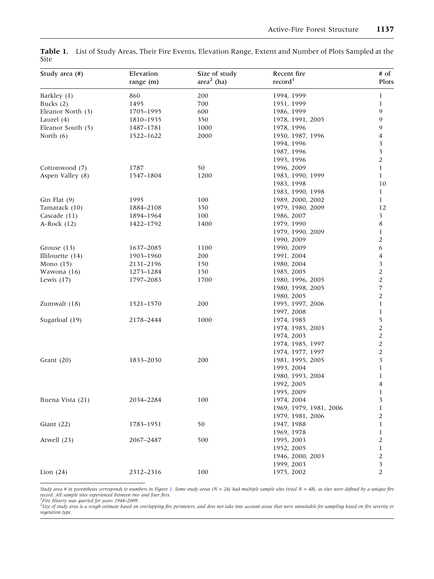| Study area (#)    | Elevation<br>range (m) | Size of study<br>$area2$ (ha) | Recent fire<br>record <sup>1</sup> | # of<br>Plots           |  |
|-------------------|------------------------|-------------------------------|------------------------------------|-------------------------|--|
| Barkley (1)       | 860                    | 200                           | 1994, 1999                         | 1                       |  |
| Bucks (2)         | 1495                   | 700                           | 1951, 1999                         | 1                       |  |
| Eleanor North (3) | 1705-1995              | 600                           | 1986, 1999                         | 9                       |  |
| Laurel $(4)$      | 1810-1935              | 350                           | 1978, 1991, 2005                   | 9                       |  |
| Eleanor South (5) | 1487-1781              | 1000                          | 1978, 1996                         | 9                       |  |
| North (6)         | 1522-1622              | 2000                          | 1950, 1987, 1996                   | 4                       |  |
|                   |                        |                               | 1994, 1996                         | 3                       |  |
|                   |                        |                               | 1987, 1996                         | $\overline{\mathbf{3}}$ |  |
|                   |                        |                               | 1993, 1996                         | $\boldsymbol{2}$        |  |
| Cottonwood (7)    | 1787                   | 50                            | 1996, 2009                         | $\mathbf{1}$            |  |
| Aspen Valley (8)  | 1547-1804              | 1200                          | 1983, 1990, 1999                   | $\mathbf{1}$            |  |
|                   |                        |                               | 1983, 1998                         | 10                      |  |
|                   |                        |                               | 1983, 1990, 1998                   | 1                       |  |
| Gin Flat $(9)$    | 1995                   | 100                           | 1989, 2000, 2002                   | $\mathbf{1}$            |  |
| Tamarack (10)     | 1884-2108              | 350                           | 1979, 1980, 2009                   | 12                      |  |
| Cascade (11)      | 1894-1964              | 100                           | 1986, 2007                         | 3                       |  |
| $A-Rock$ (12)     | 1422-1792              | 1400                          | 1979, 1990                         | 8                       |  |
|                   |                        |                               | 1979, 1990, 2009                   | $\mathbf{1}$            |  |
|                   |                        |                               | 1990, 2009                         | $\overline{c}$          |  |
| Grouse (13)       | 1637-2085              | 1100                          | 1990, 2009                         | 6                       |  |
| Illilouette (14)  | 1903-1960              | 200                           | 1991, 2004                         | 4                       |  |
| Mono $(15)$       | 2131-2196              | 150                           | 1980, 2004                         | 3                       |  |
| Wawona (16)       | 1273-1284              | 150                           | 1985, 2005                         | $\mathbf{2}$            |  |
| Lewis $(17)$      | 1797-2083              | 1700                          | 1980, 1996, 2005                   | $\overline{2}$          |  |
|                   |                        |                               | 1980, 1998, 2005                   | 7                       |  |
|                   |                        |                               | 1980, 2005                         | $\overline{2}$          |  |
| Zumwalt (18)      | 1521-1570              | 200                           | 1995, 1997, 2006                   | $\mathbf{1}$            |  |
|                   |                        |                               | 1997, 2008                         | $\mathbf{1}$            |  |
| Sugarloaf (19)    | 2178-2444              | 1000                          | 1974, 1985                         | 5                       |  |
|                   |                        |                               | 1974, 1985, 2003                   | $\overline{2}$          |  |
|                   |                        |                               | 1974, 2003                         | $\overline{c}$          |  |
|                   |                        |                               | 1974, 1985, 1997                   | $\overline{c}$          |  |
|                   |                        |                               | 1974, 1977, 1997                   | $\overline{2}$          |  |
| Grant $(20)$      | 1833-2030              | 200                           | 1981, 1995, 2005                   | 3                       |  |
|                   |                        |                               | 1993, 2004                         | $\mathbf{1}$            |  |
|                   |                        |                               | 1980, 1993, 2004                   | $\mathbf{1}$            |  |
|                   |                        |                               | 1992, 2005                         | 4                       |  |
|                   |                        |                               | 1995, 2009                         | $\mathbf{1}$            |  |
| Buena Vista (21)  | 2034-2284              | 100                           | 1974, 2004                         | 3                       |  |
|                   |                        |                               | 1969, 1979, 1981, 2006             | $\mathbf{1}$            |  |
|                   |                        |                               | 1979, 1981, 2006                   | 2                       |  |
| Giant $(22)$      | 1783-1951              | 50                            | 1947, 1988                         | 1                       |  |
|                   |                        |                               | 1969, 1978                         | $\mathbf{1}$            |  |
| Atwell (23)       | 2067-2487              | 500                           | 1995, 2003                         | 2                       |  |
|                   |                        |                               | 1952, 2005                         | 1                       |  |
|                   |                        |                               | 1946, 2000, 2003                   | 2                       |  |
|                   |                        |                               | 1999, 2003                         | 3                       |  |
| Lion $(24)$       | 2312-2316              | 100                           | 1975, 2002                         | 2                       |  |
|                   |                        |                               |                                    |                         |  |

<span id="page-3-0"></span>Table 1. List of Study Areas, Their Fire Events, Elevation Range, Extent and Number of Plots Sampled at the Site

Study area # in parentheses corresponds to numbers in Figure [1.](#page-4-0) Some study areas (N = 24) had multiple sample sites (total N = 48), as sites were defined by a unique fire<br>'Fire History was queried for years 1944–2009.<br>'Fir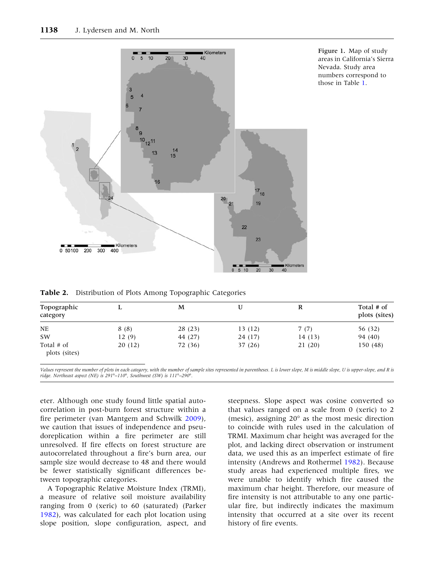<span id="page-4-0"></span>

Figure 1. Map of study areas in California's Sierra Nevada. Study area numbers correspond to those in Table [1.](#page-3-0)

Table 2. Distribution of Plots Among Topographic Categories

| Topographic<br>category     |        | M       | U      | R      | Total # of<br>plots (sites) |
|-----------------------------|--------|---------|--------|--------|-----------------------------|
| NE                          | 8(8)   | 28(23)  | 13(12) | 7(7)   | 56 (32)                     |
| SW                          | 12(9)  | 44 (27) | 24(17) | 14(13) | 94 (40)                     |
| Total # of<br>plots (sites) | 20(12) | 72 (36) | 37(26) | 21(20) | 150 (48)                    |

Values represent the number of plots in each category, with the number of sample sites represented in parentheses. L is lower slope, M is middle slope, U is upper-slope, and R is ridge. Northeast aspect (NE) is  $291^\circ - 110^\circ$ , Southwest (SW) is  $111^\circ - 290^\circ$ .

eter. Although one study found little spatial autocorrelation in post-burn forest structure within a fire perimeter (van Mantgem and Schwilk [2009](#page-12-0)), we caution that issues of independence and pseudoreplication within a fire perimeter are still unresolved. If fire effects on forest structure are autocorrelated throughout a fire's burn area, our sample size would decrease to 48 and there would be fewer statistically significant differences between topographic categories.

A Topographic Relative Moisture Index (TRMI), a measure of relative soil moisture availability ranging from 0 (xeric) to 60 (saturated) (Parker [1982\)](#page-12-0), was calculated for each plot location using slope position, slope configuration, aspect, and steepness. Slope aspect was cosine converted so that values ranged on a scale from 0 (xeric) to 2 (mesic), assigning  $20^{\circ}$  as the most mesic direction to coincide with rules used in the calculation of TRMI. Maximum char height was averaged for the plot, and lacking direct observation or instrument data, we used this as an imperfect estimate of fire intensity (Andrews and Rothermel [1982](#page-11-0)). Because study areas had experienced multiple fires, we were unable to identify which fire caused the maximum char height. Therefore, our measure of fire intensity is not attributable to any one particular fire, but indirectly indicates the maximum intensity that occurred at a site over its recent history of fire events.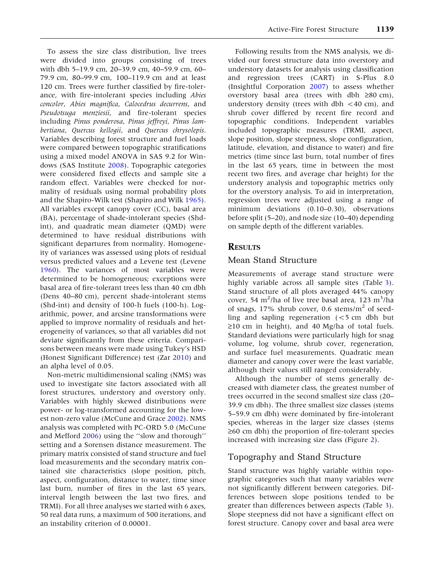To assess the size class distribution, live trees were divided into groups consisting of trees with dbh 5–19.9 cm, 20–39.9 cm, 40–59.9 cm, 60– 79.9 cm, 80–99.9 cm, 100–119.9 cm and at least 120 cm. Trees were further classified by fire-tolerance, with fire-intolerant species including Abies concolor, Abies magnifica, Calocedrus decurrens, and Pseudotsuga menziesii, and fire-tolerant species including Pinus ponderosa, Pinus jeffreyi, Pinus lambertiana, Quercus kellogii, and Quercus chrysolepis. Variables describing forest structure and fuel loads were compared between topographic stratifications using a mixed model ANOVA in SAS 9.2 for Windows (SAS Institute [2008\)](#page-12-0). Topographic categories were considered fixed effects and sample site a random effect. Variables were checked for normality of residuals using normal probability plots and the Shapiro-Wilk test (Shapiro and Wilk [1965](#page-12-0)). All variables except canopy cover (CC), basal area (BA), percentage of shade-intolerant species (Shdint), and quadratic mean diameter (QMD) were determined to have residual distributions with significant departures from normality. Homogeneity of variances was assessed using plots of residual versus predicted values and a Levene test (Levene [1960\)](#page-11-0). The variances of most variables were determined to be homogeneous; exceptions were basal area of fire-tolerant trees less than 40 cm dbh (Dens 40–80 cm), percent shade-intolerant stems (Shd-int) and density of 100-h fuels (100-h). Logarithmic, power, and arcsine transformations were applied to improve normality of residuals and heterogeneity of variances, so that all variables did not deviate significantly from these criteria. Comparisons between means were made using Tukey's HSD (Honest Significant Difference) test (Zar [2010](#page-12-0)) and an alpha level of 0.05.

Non-metric multidimensional scaling (NMS) was used to investigate site factors associated with all forest structures, understory and overstory only. Variables with highly skewed distributions were power- or log-transformed accounting for the lowest non-zero value (McCune and Grace [2002](#page-11-0)). NMS analysis was completed with PC-ORD 5.0 (McCune and Mefford [2006](#page-11-0)) using the ''slow and thorough'' setting and a Sorensen distance measurement. The primary matrix consisted of stand structure and fuel load measurements and the secondary matrix contained site characteristics (slope position, pitch, aspect, configuration, distance to water, time since last burn, number of fires in the last 65 years, interval length between the last two fires, and TRMI). For all three analyses we started with 6 axes, 50 real data runs, a maximum of 500 iterations, and an instability criterion of 0.00001.

Following results from the NMS analysis, we divided our forest structure data into overstory and understory datasets for analysis using classification and regression trees (CART) in S-Plus 8.0 (Insightful Corporation [2007\)](#page-11-0) to assess whether overstory basal area (trees with dbh  $\geq 80$  cm), understory density (trees with dbh  $<$ 40 cm), and shrub cover differed by recent fire record and topographic conditions. Independent variables included topographic measures (TRMI, aspect, slope position, slope steepness, slope configuration, latitude, elevation, and distance to water) and fire metrics (time since last burn, total number of fires in the last 65 years, time in between the most recent two fires, and average char height) for the understory analysis and topographic metrics only for the overstory analysis. To aid in interpretation, regression trees were adjusted using a range of minimum deviations (0.10–0.30), observations before split (5–20), and node size (10–40) depending on sample depth of the different variables.

## RESULTS

## Mean Stand Structure

Measurements of average stand structure were highly variable across all sample sites (Table [3](#page-6-0)). Stand structure of all plots averaged 44% canopy cover, 54 m<sup>2</sup>/ha of live tree basal area, 123 m<sup>3</sup>/ha of snags, 17% shrub cover, 0.6 stems/ $m<sup>2</sup>$  of seedling and sapling regeneration (<5 cm dbh but  $\geq$ 10 cm in height), and 40 Mg/ha of total fuels. Standard deviations were particularly high for snag volume, log volume, shrub cover, regeneration, and surface fuel measurements. Quadratic mean diameter and canopy cover were the least variable, although their values still ranged considerably.

Although the number of stems generally decreased with diameter class, the greatest number of trees occurred in the second smallest size class (20– 39.9 cm dbh). The three smallest size classes (stems 5–59.9 cm dbh) were dominated by fire-intolerant species, whereas in the larger size classes (stems  $\geq 60$  cm dbh) the proportion of fire-tolerant species increased with increasing size class (Figure [2\)](#page-6-0).

# Topography and Stand Structure

Stand structure was highly variable within topographic categories such that many variables were not significantly different between categories. Differences between slope positions tended to be greater than differences between aspects (Table [3](#page-6-0)). Slope steepness did not have a significant effect on forest structure. Canopy cover and basal area were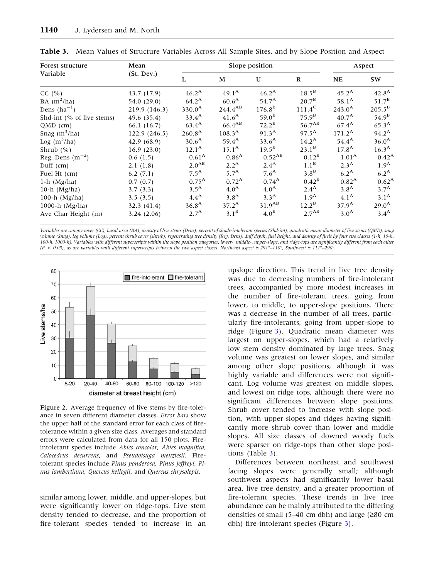| Forest structure<br>Variable | Mean<br>(St. Dev.) | Slope position    |                    |                     | Aspect              |                   |                  |
|------------------------------|--------------------|-------------------|--------------------|---------------------|---------------------|-------------------|------------------|
|                              |                    | L                 | M                  | U                   | $\bf{R}$            | NE                | <b>SW</b>        |
| CC $(% )$                    | 43.7 (17.9)        | $46.2^{\rm A}$    | $49.1^{\rm A}$     | $46.2^{\rm A}$      | $18.5^{\mathrm{B}}$ | $45.2^{\rm A}$    | $42.8^{\rm A}$   |
| BA $(m^2/ha)$                | 54.0 (29.0)        | $64.2^{\rm A}$    | 60.6 <sup>A</sup>  | $54.7^{A}$          | 20.7 <sup>B</sup>   | $58.1^{\rm A}$    | $51.7^{\rm B}$   |
| Dens $(ha^{-1})$             | 219.9 (146.3)      | $330.0^{A}$       | $244.4^{AB}$       | $176.8^{B}$         | $111.4^C$           | $243.0^{A}$       | $205.5^{\rm B}$  |
| Shd-int (% of live stems)    | 49.6 (35.4)        | $33.4^{A}$        | 41.6 <sup>A</sup>  | $59.0^{\rm B}$      | $75.9^{\mathrm{B}}$ | 40.7 <sup>A</sup> | $54.9^{B}$       |
| $QMD$ (cm)                   | 66.1 (16.7)        | $63.4^{A}$        | $66.4^{AB}$        | $72.2^{\mathrm{B}}$ | $56.7^{AB}$         | $67.4^{\text{A}}$ | $65.3^{A}$       |
| Snag $(m^3/ha)$              | 122.9 (246.5)      | $260.8^{A}$       | $108.3^{A}$        | $91.3^{A}$          | $97.5^{\rm A}$      | $171.2^{\rm A}$   | $94.2^{\rm A}$   |
| Log $(m^3/ha)$               | 42.9 (68.9)        | 30.6 <sup>A</sup> | $59.4^{\rm A}$     | $33.6^{A}$          | $14.2^{\rm A}$      | $54.4^{\rm A}$    | $36.0^{A}$       |
| Shrub $(\% )$                | 16.9(23.0)         | $12.1^{\rm A}$    | $15.1^{\rm A}$     | $19.5^{\rm B}$      | $23.1^{\rm B}$      | $17.8^{\rm A}$    | $16.3^{A}$       |
| Reg. Dens $(m^{-2})$         | 0.6(1.5)           | 0.61 <sup>A</sup> | $0.86^{A}$         | $0.52^{AB}$         | $0.12^{\rm B}$      | 1.01 <sup>A</sup> | $0.42^{A}$       |
| Duff $(cm)$                  | 2.1(1.8)           | $2.0^{AB}$        | $2.2^{\rm A}$      | 2.4 <sup>A</sup>    | $1.1^B$             | 2.3 <sup>A</sup>  | 1.9 <sup>A</sup> |
| Fuel Ht (cm)                 | 6.2(7.1)           | $7.5^{\text{A}}$  | 5.7 <sup>A</sup>   | 7.6 <sup>A</sup>    | $3.8^{\rm B}$       | 6.2 <sup>A</sup>  | $6.2^{\rm A}$    |
| $1-h$ (Mg/ha)                | 0.7(0.7)           | $0.75^{A}$        | 0.72 <sup>A</sup>  | $0.74^{A}$          | $0.42^{\rm B}$      | $0.82^{A}$        | $0.62^{A}$       |
| 10-h $(Mg/ha)$               | 3.7(3.3)           | $3.5^{\text{A}}$  | 4.0 <sup>A</sup>   | 4.0 <sup>A</sup>    | 2.4 <sup>A</sup>    | 3.8 <sup>A</sup>  | 3.7 <sup>A</sup> |
| 100-h $(Mg/ha)$              | 3.5(3.5)           | $4.4^{\rm A}$     | 3.8 <sup>A</sup>   | 3.3 <sup>A</sup>    | 1.9 <sup>A</sup>    | 4.1 <sup>A</sup>  | 3.1 <sup>A</sup> |
| 1000-h (Mg/ha)               | 32.3 (41.4)        | $36.8^{A}$        | $37.2^{\rm A}$     | $31.9^{AB}$         | $12.2^{\mathrm{B}}$ | $37.9^{A}$        | $29.0^{A}$       |
| Ave Char Height (m)          | 3.24(2.06)         | 2.7 <sup>A</sup>  | $3.1^{\mathrm{B}}$ | 4.0 <sup>B</sup>    | $2.7^{AB}$          | 3.0 <sup>A</sup>  | 3.4 <sup>A</sup> |

<span id="page-6-0"></span>Table 3. Mean Values of Structure Variables Across All Sample Sites, and by Slope Position and Aspect

Variables are canopy cover (CC), basal area (BA), density of live stems (Dens), percent of shade-intolerant species (Shd-int), quadratic mean diameter of live stems (QMD), snag volume (Snag), log volume (Log), percent shrub cover (shrub), regenerating tree density (Reg. Dens), duff depth, fuel height, and density of fuels by four size classes (1-h, 10-h, 100-h, 1000-h). Variables with different superscripts within the slope position categories, lower-, middle-, upper-slope, and ridge-tops are significantly different from each other  $(P < 0.05)$ , as are variables with different superscripts between the two aspect classes. Northeast aspect is  $291^{\circ}-110^{\circ}$ , Southwest is  $111^{\circ}-290^{\circ}$ .



Figure 2. Average frequency of live stems by fire-tolerance in seven different diameter classes. Error bars show the upper half of the standard error for each class of firetolerance within a given size class. Averages and standard errors were calculated from data for all 150 plots. Fireintolerant species include Abies concolor, Abies magnifica, Calocedrus decurrens, and Pseudotsuga menziesii. Firetolerant species include Pinus ponderosa, Pinus jeffreyi, Pinus lambertiana, Quercus kellogii, and Quercus chrysolepis.

similar among lower, middle, and upper-slopes, but were significantly lower on ridge-tops. Live stem density tended to decrease, and the proportion of fire-tolerant species tended to increase in an

upslope direction. This trend in live tree density was due to decreasing numbers of fire-intolerant trees, accompanied by more modest increases in the number of fire-tolerant trees, going from lower, to middle, to upper-slope positions. There was a decrease in the number of all trees, particularly fire-intolerants, going from upper-slope to ridge (Figure [3\)](#page-7-0). Quadratic mean diameter was largest on upper-slopes, which had a relatively low stem density dominated by large trees. Snag volume was greatest on lower slopes, and similar among other slope positions, although it was highly variable and differences were not significant. Log volume was greatest on middle slopes, and lowest on ridge tops, although there were no significant differences between slope positions. Shrub cover tended to increase with slope position, with upper-slopes and ridges having significantly more shrub cover than lower and middle slopes. All size classes of downed woody fuels were sparser on ridge-tops than other slope positions (Table 3).

Differences between northeast and southwest facing slopes were generally small; although southwest aspects had significantly lower basal area, live tree density, and a greater proportion of fire-tolerant species. These trends in live tree abundance can be mainly attributed to the differing densities of small (5–40 cm dbh) and large  $(≥80$  cm dbh) fire-intolerant species (Figure [3\)](#page-7-0).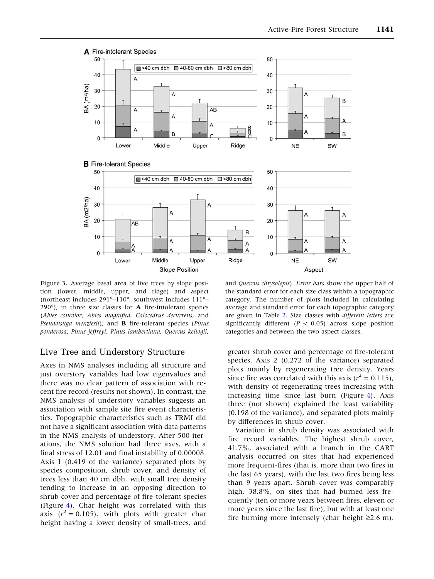<span id="page-7-0"></span>

Figure 3. Average basal area of live trees by slope position (lower, middle, upper, and ridge) and aspect (northeast includes  $291^{\circ}-110^{\circ}$ , southwest includes  $111^{\circ} 290^\circ$ ), in three size classes for **A** fire-intolerant species (Abies concolor, Abies magnifica, Calocedrus decurrens, and Pseudotsuga menziesii); and **B** fire-tolerant species (Pinus ponderosa, Pinus jeffreyi, Pinus lambertiana, Quercus kellogii,

#### Live Tree and Understory Structure

Axes in NMS analyses including all structure and just overstory variables had low eigenvalues and there was no clear pattern of association with recent fire record (results not shown). In contrast, the NMS analysis of understory variables suggests an association with sample site fire event characteristics. Topographic characteristics such as TRMI did not have a significant association with data patterns in the NMS analysis of understory. After 500 iterations, the NMS solution had three axes, with a final stress of 12.01 and final instability of 0.00008. Axis 1 (0.419 of the variance) separated plots by species composition, shrub cover, and density of trees less than 40 cm dbh, with small tree density tending to increase in an opposing direction to shrub cover and percentage of fire-tolerant species (Figure [4\)](#page-8-0). Char height was correlated with this axis ( $r^2 = 0.105$ ), with plots with greater char height having a lower density of small-trees, and

and Quercus chrysolepis). Error bars show the upper half of the standard error for each size class within a topographic category. The number of plots included in calculating average and standard error for each topographic category are given in Table [2.](#page-4-0) Size classes with different letters are significantly different ( $P < 0.05$ ) across slope position categories and between the two aspect classes.

greater shrub cover and percentage of fire-tolerant species. Axis 2 (0.272 of the variance) separated plots mainly by regenerating tree density. Years since fire was correlated with this axis ( $r^2 = 0.115$ ), with density of regenerating trees increasing with increasing time since last burn (Figure [4](#page-8-0)). Axis three (not shown) explained the least variability (0.198 of the variance), and separated plots mainly by differences in shrub cover.

Variation in shrub density was associated with fire record variables. The highest shrub cover, 41.7%, associated with a branch in the CART analysis occurred on sites that had experienced more frequent-fires (that is, more than two fires in the last 65 years), with the last two fires being less than 9 years apart. Shrub cover was comparably high, 38.8%, on sites that had burned less frequently (ten or more years between fires, eleven or more years since the last fire), but with at least one fire burning more intensely (char height  $\geq 2.6$  m).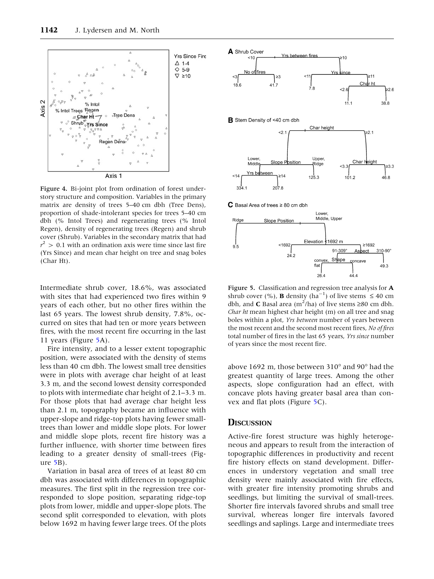<span id="page-8-0"></span>

Figure 4. Bi-joint plot from ordination of forest understory structure and composition. Variables in the primary matrix are density of trees 5–40 cm dbh (Tree Dens), proportion of shade-intolerant species for trees 5–40 cm dbh (% Intol Trees) and regenerating trees (% Intol Regen), density of regenerating trees (Regen) and shrub cover (Shrub). Variables in the secondary matrix that had  $r^2 > 0.1$  with an ordination axis were time since last fire (Yrs Since) and mean char height on tree and snag boles (Char Ht).

Intermediate shrub cover, 18.6%, was associated with sites that had experienced two fires within 9 years of each other, but no other fires within the last 65 years. The lowest shrub density, 7.8%, occurred on sites that had ten or more years between fires, with the most recent fire occurring in the last 11 years (Figure 5A).

Fire intensity, and to a lesser extent topographic position, were associated with the density of stems less than 40 cm dbh. The lowest small tree densities were in plots with average char height of at least 3.3 m, and the second lowest density corresponded to plots with intermediate char height of 2.1–3.3 m. For those plots that had average char height less than 2.1 m, topography became an influence with upper-slope and ridge-top plots having fewer smalltrees than lower and middle slope plots. For lower and middle slope plots, recent fire history was a further influence, with shorter time between fires leading to a greater density of small-trees (Figure 5B).

Variation in basal area of trees of at least 80 cm dbh was associated with differences in topographic measures. The first split in the regression tree corresponded to slope position, separating ridge-top plots from lower, middle and upper-slope plots. The second split corresponded to elevation, with plots below 1692 m having fewer large trees. Of the plots



Figure 5. Classification and regression tree analysis for A shrub cover (%), **B** density (ha<sup>-1</sup>) of live stems  $\leq 40$  cm dbh, and **C** Basal area (m<sup>2</sup>/ha) of live stems  $\geq$ 80 cm dbh. Char ht mean highest char height (m) on all tree and snag boles within a plot, Yrs between number of years between the most recent and the second most recent fires, No of fires total number of fires in the last 65 years, Yrs since number of years since the most recent fire.

above 1692 m, those between  $310^{\circ}$  and  $90^{\circ}$  had the greatest quantity of large trees. Among the other aspects, slope configuration had an effect, with concave plots having greater basal area than convex and flat plots (Figure 5C).

## **DISCUSSION**

Active-fire forest structure was highly heterogeneous and appears to result from the interaction of topographic differences in productivity and recent fire history effects on stand development. Differences in understory vegetation and small tree density were mainly associated with fire effects, with greater fire intensity promoting shrubs and seedlings, but limiting the survival of small-trees. Shorter fire intervals favored shrubs and small tree survival, whereas longer fire intervals favored seedlings and saplings. Large and intermediate trees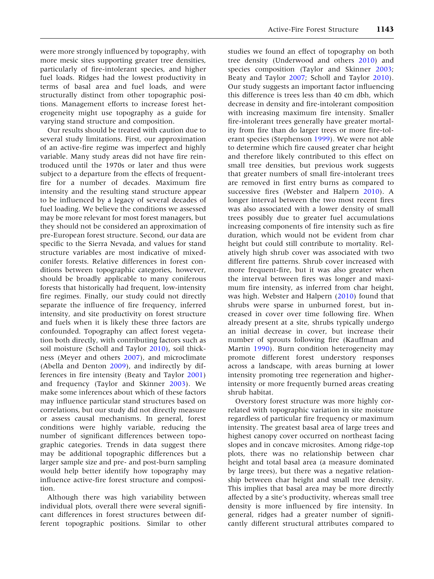were more strongly influenced by topography, with more mesic sites supporting greater tree densities, particularly of fire-intolerant species, and higher fuel loads. Ridges had the lowest productivity in terms of basal area and fuel loads, and were structurally distinct from other topographic positions. Management efforts to increase forest heterogeneity might use topography as a guide for varying stand structure and composition.

Our results should be treated with caution due to several study limitations. First, our approximation of an active-fire regime was imperfect and highly variable. Many study areas did not have fire reintroduced until the 1970s or later and thus were subject to a departure from the effects of frequentfire for a number of decades. Maximum fire intensity and the resulting stand structure appear to be influenced by a legacy of several decades of fuel loading. We believe the conditions we assessed may be more relevant for most forest managers, but they should not be considered an approximation of pre-European forest structure. Second, our data are specific to the Sierra Nevada, and values for stand structure variables are most indicative of mixedconifer forests. Relative differences in forest conditions between topographic categories, however, should be broadly applicable to many coniferous forests that historically had frequent, low-intensity fire regimes. Finally, our study could not directly separate the influence of fire frequency, inferred intensity, and site productivity on forest structure and fuels when it is likely these three factors are confounded. Topography can affect forest vegetation both directly, with contributing factors such as soil moisture (Scholl and Taylor [2010\)](#page-12-0), soil thickness (Meyer and others [2007\)](#page-11-0), and microclimate (Abella and Denton [2009](#page-11-0)), and indirectly by differences in fire intensity (Beaty and Taylor [2001](#page-11-0)) and frequency (Taylor and Skinner [2003\)](#page-12-0). We make some inferences about which of these factors may influence particular stand structures based on correlations, but our study did not directly measure or assess causal mechanisms. In general, forest conditions were highly variable, reducing the number of significant differences between topographic categories. Trends in data suggest there may be additional topographic differences but a larger sample size and pre- and post-burn sampling would help better identify how topography may influence active-fire forest structure and composition.

Although there was high variability between individual plots, overall there were several significant differences in forest structures between different topographic positions. Similar to other

studies we found an effect of topography on both tree density (Underwood and others [2010\)](#page-12-0) and species composition (Taylor and Skinner [2003](#page-12-0); Beaty and Taylor [2007;](#page-11-0) Scholl and Taylor [2010](#page-12-0)). Our study suggests an important factor influencing this difference is trees less than 40 cm dbh, which decrease in density and fire-intolerant composition with increasing maximum fire intensity. Smaller fire-intolerant trees generally have greater mortality from fire than do larger trees or more fire-tolerant species (Stephenson [1999\)](#page-12-0). We were not able to determine which fire caused greater char height and therefore likely contributed to this effect on small tree densities, but previous work suggests that greater numbers of small fire-intolerant trees are removed in first entry burns as compared to successive fires (Webster and Halpern [2010](#page-12-0)). A longer interval between the two most recent fires was also associated with a lower density of small trees possibly due to greater fuel accumulations increasing components of fire intensity such as fire duration, which would not be evident from char height but could still contribute to mortality. Relatively high shrub cover was associated with two different fire patterns. Shrub cover increased with more frequent-fire, but it was also greater when the interval between fires was longer and maximum fire intensity, as inferred from char height, was high. Webster and Halpern ([2010\)](#page-12-0) found that shrubs were sparse in unburned forest, but increased in cover over time following fire. When already present at a site, shrubs typically undergo an initial decrease in cover, but increase their number of sprouts following fire (Kauffman and Martin [1990](#page-11-0)). Burn condition heterogeneity may promote different forest understory responses across a landscape, with areas burning at lower intensity promoting tree regeneration and higherintensity or more frequently burned areas creating shrub habitat.

Overstory forest structure was more highly correlated with topographic variation in site moisture regardless of particular fire frequency or maximum intensity. The greatest basal area of large trees and highest canopy cover occurred on northeast facing slopes and in concave microsites. Among ridge-top plots, there was no relationship between char height and total basal area (a measure dominated by large trees), but there was a negative relationship between char height and small tree density. This implies that basal area may be more directly affected by a site's productivity, whereas small tree density is more influenced by fire intensity. In general, ridges had a greater number of significantly different structural attributes compared to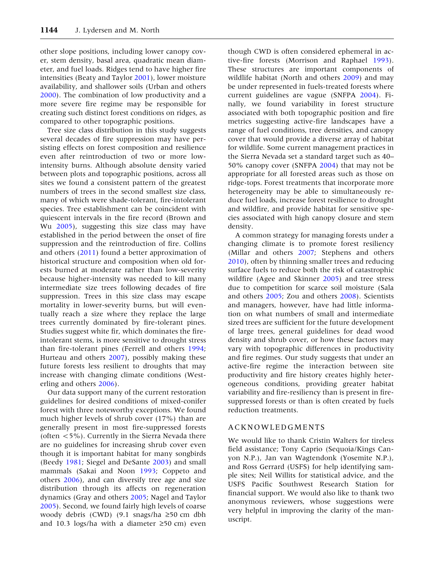other slope positions, including lower canopy cover, stem density, basal area, quadratic mean diameter, and fuel loads. Ridges tend to have higher fire intensities (Beaty and Taylor [2001\)](#page-11-0), lower moisture availability, and shallower soils (Urban and others [2000\)](#page-12-0). The combination of low productivity and a more severe fire regime may be responsible for creating such distinct forest conditions on ridges, as compared to other topographic positions.

Tree size class distribution in this study suggests several decades of fire suppression may have persisting effects on forest composition and resilience even after reintroduction of two or more lowintensity burns. Although absolute density varied between plots and topographic positions, across all sites we found a consistent pattern of the greatest numbers of trees in the second smallest size class, many of which were shade-tolerant, fire-intolerant species. Tree establishment can be coincident with quiescent intervals in the fire record (Brown and Wu [2005](#page-11-0)), suggesting this size class may have established in the period between the onset of fire suppression and the reintroduction of fire. Collins and others [\(2011](#page-11-0)) found a better approximation of historical structure and composition when old forests burned at moderate rather than low-severity because higher-intensity was needed to kill many intermediate size trees following decades of fire suppression. Trees in this size class may escape mortality in lower-severity burns, but will eventually reach a size where they replace the large trees currently dominated by fire-tolerant pines. Studies suggest white fir, which dominates the fireintolerant stems, is more sensitive to drought stress than fire-tolerant pines (Ferrell and others [1994](#page-11-0); Hurteau and others [2007\)](#page-11-0), possibly making these future forests less resilient to droughts that may increase with changing climate conditions (Westerling and others [2006\)](#page-12-0).

Our data support many of the current restoration guidelines for desired conditions of mixed-conifer forest with three noteworthy exceptions. We found much higher levels of shrub cover (17%) than are generally present in most fire-suppressed forests (often <5%). Currently in the Sierra Nevada there are no guidelines for increasing shrub cover even though it is important habitat for many songbirds (Beedy [1981;](#page-11-0) Siegel and DeSante [2003](#page-12-0)) and small mammals (Sakai and Noon [1993](#page-12-0); Coppeto and others [2006](#page-11-0)), and can diversify tree age and size distribution through its affects on regeneration dynamics (Gray and others [2005;](#page-11-0) Nagel and Taylor [2005\)](#page-11-0). Second, we found fairly high levels of coarse woody debris (CWD)  $(9.1 \text{ snags/ha} \geq 50 \text{ cm dh})$ and 10.3 logs/ha with a diameter  $\geq 50$  cm) even

though CWD is often considered ephemeral in active-fire forests (Morrison and Raphael [1993](#page-11-0)). These structures are important components of wildlife habitat (North and others [2009\)](#page-11-0) and may be under represented in fuels-treated forests where current guidelines are vague (SNFPA [2004\)](#page-12-0). Finally, we found variability in forest structure associated with both topographic position and fire metrics suggesting active-fire landscapes have a range of fuel conditions, tree densities, and canopy cover that would provide a diverse array of habitat for wildlife. Some current management practices in the Sierra Nevada set a standard target such as 40– 50% canopy cover (SNFPA [2004](#page-12-0)) that may not be appropriate for all forested areas such as those on ridge-tops. Forest treatments that incorporate more heterogeneity may be able to simultaneously reduce fuel loads, increase forest resilience to drought and wildfire, and provide habitat for sensitive species associated with high canopy closure and stem density.

A common strategy for managing forests under a changing climate is to promote forest resiliency (Millar and others [2007](#page-11-0); Stephens and others [2010\)](#page-12-0), often by thinning smaller trees and reducing surface fuels to reduce both the risk of catastrophic wildfire (Agee and Skinner [2005](#page-11-0)) and tree stress due to competition for scarce soil moisture (Sala and others [2005;](#page-12-0) Zou and others [2008\)](#page-12-0). Scientists and managers, however, have had little information on what numbers of small and intermediate sized trees are sufficient for the future development of large trees, general guidelines for dead wood density and shrub cover, or how these factors may vary with topographic differences in productivity and fire regimes. Our study suggests that under an active-fire regime the interaction between site productivity and fire history creates highly heterogeneous conditions, providing greater habitat variability and fire-resiliency than is present in firesuppressed forests or than is often created by fuels reduction treatments.

#### ACKNOWLEDGMENTS

We would like to thank Cristin Walters for tireless field assistance; Tony Caprio (Sequoia/Kings Canyon N.P.), Jan van Wagtendonk (Yosemite N.P.), and Ross Gerrard (USFS) for help identifying sample sites; Neil Willits for statistical advice, and the USFS Pacific Southwest Research Station for financial support. We would also like to thank two anonymous reviewers, whose suggestions were very helpful in improving the clarity of the manuscript.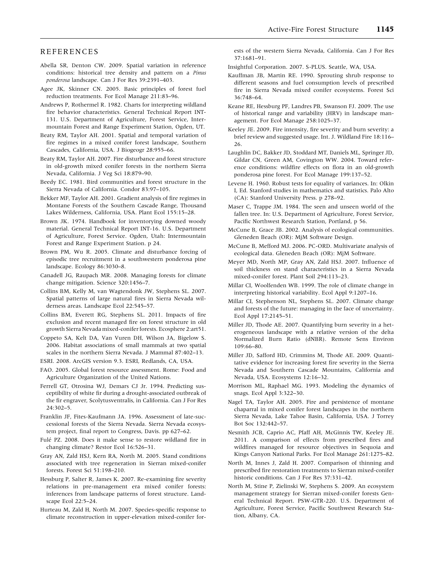#### <span id="page-11-0"></span>REFERENCES

- Abella SR, Denton CW. 2009. Spatial variation in reference conditions: historical tree density and pattern on a Pinus ponderosa landscape. Can J For Res 39:2391–403.
- Agee JK, Skinner CN. 2005. Basic principles of forest fuel reduction treatments. For Ecol Manage 211:83–96.
- Andrews P, Rothermel R. 1982. Charts for interpreting wildland fire behavior characteristics. General Technical Report INT-131. U.S. Department of Agriculture, Forest Service, Intermountain Forest and Range Experiment Station, Ogden, UT.
- Beaty RM, Taylor AH. 2001. Spatial and temporal variation of fire regimes in a mixed conifer forest landscape, Southern Cascades, California, USA. J Biogeogr 28:955–66.
- Beaty RM, Taylor AH. 2007. Fire disturbance and forest structure in old-growth mixed conifer forests in the northern Sierra Nevada, California. J Veg Sci 18:879–90.
- Beedy EC. 1981. Bird communities and forest structure in the Sierra Nevada of California. Condor 83:97–105.
- Bekker MF, Taylor AH. 2001. Gradient analysis of fire regimes in Montane Forests of the Southern Cascade Range, Thousand Lakes Wilderness, California, USA. Plant Ecol 155:15–28.
- Brown JK. 1974. Handbook for inventorying downed woody material. General Technical Report INT-16. U.S. Department of Agriculture, Forest Service. Ogden, Utah: Intermountain Forest and Range Experiment Station. p 24.
- Brown PM, Wu R. 2005. Climate and disturbance forcing of episodic tree recruitment in a southwestern ponderosa pine landscape. Ecology 86:3030–8.
- Canadell JG, Raupach MR. 2008. Managing forests for climate change mitigation. Science 320:1456–7.
- Collins BM, Kelly M, van Wagtendonk JW, Stephens SL. 2007. Spatial patterns of large natural fires in Sierra Nevada wilderness areas. Landscape Ecol 22:545–57.
- Collins BM, Everett RG, Stephens SL. 2011. Impacts of fire exclusion and recent managed fire on forest structure in old growth Sierra Nevada mixed-conifer forests. Ecosphere 2:art51.
- Coppeto SA, Kelt DA, Van Vuren DH, Wilson JA, Bigelow S. 2006. Habitat associations of small mammals at two spatial scales in the northern Sierra Nevada. J Mammal 87:402–13.
- ESRI. 2008. ArcGIS version 9.3. ESRI, Redlands, CA, USA.
- FAO. 2005. Global forest resource assessment. Rome: Food and Agriculture Organization of the United Nations.
- Ferrell GT, Otrosina WJ, Demars CJ Jr. 1994. Predicting susceptibility of white fir during a drought-associated outbreak of the fir engraver, Scolytusventralis, in California. Can J For Res 24:302–5.
- Franklin JF, Fites-Kaufmann JA. 1996. Assessment of late-successional forests of the Sierra Nevada. Sierra Nevada ecosystem project, final report to Congress, Davis. pp 627–62.
- Fulé PZ. 2008. Does it make sense to restore wildland fire in changing climate? Restor Ecol 16:526–31.
- Gray AN, Zald HSJ, Kern RA, North M. 2005. Stand conditions associated with tree regeneration in Sierran mixed-conifer forests. Forest Sci 51:198–210.
- Hessburg P, Salter R, James K. 2007. Re-examining fire severity relations in pre-management era mixed conifer forests: inferences from landscape patterns of forest structure. Landscape Ecol 22:5–24.
- Hurteau M, Zald H, North M. 2007. Species-specific response to climate reconstruction in upper-elevation mixed-conifer for-

ests of the western Sierra Nevada, California. Can J For Res 37:1681–91.

- Insightful Corporation. 2007. S-PLUS. Seattle, WA, USA.
- Kauffman JB, Martin RE. 1990. Sprouting shrub response to different seasons and fuel consumption levels of prescribed fire in Sierra Nevada mixed conifer ecosystems. Forest Sci 36:748–64.
- Keane RE, Hessburg PF, Landres PB, Swanson FJ. 2009. The use of historical range and variability (HRV) in landscape management. For Ecol Manage 258:1025–37.
- Keeley JE. 2009. Fire intensity, fire severity and burn severity: a brief review and suggested usage. Int. J. Wildland Fire 18:116– 26.
- Laughlin DC, Bakker JD, Stoddard MT, Daniels ML, Springer JD, Gildar CN, Green AM, Covington WW. 2004. Toward reference conditions: wildfire effects on flora in an old-growth ponderosa pine forest. For Ecol Manage 199:137–52.
- Levene H. 1960. Robust tests for equality of variances. In: Olkin I, Ed. Stanford studies in mathematics and statistics. Palo Alto (CA): Stanford University Press. p 278–92.
- Maser C, Trappe JM. 1984. The seen and unseen world of the fallen tree. In: U.S. Department of Agriculture, Forest Service, Pacific Northwest Research Station, Portland, p 56.
- McCune B, Grace JB. 2002. Analysis of ecological communities. Gleneden Beach (OR): MjM Software Design.
- McCune B, Mefford MJ. 2006. PC-ORD. Multivariate analysis of ecological data. Gleneden Beach (OR): MjM Software.
- Meyer MD, North MP, Gray AN, Zald HSJ. 2007. Influence of soil thickness on stand characteristics in a Sierra Nevada mixed-conifer forest. Plant Soil 294:113–23.
- Millar CI, Woolfenden WB. 1999. The role of climate change in interpreting historical variability. Ecol Appl 9:1207–16.
- Millar CI, Stephenson NL, Stephens SL. 2007. Climate change and forests of the future: managing in the face of uncertainty. Ecol Appl 17:2145–51.
- Miller JD, Thode AE. 2007. Quantifying burn severity in a heterogeneous landscape with a relative version of the delta Normalized Burn Ratio (dNBR). Remote Sens Environ 109:66–80.
- Miller JD, Safford HD, Crimmins M, Thode AE. 2009. Quantitative evidence for increasing forest fire severity in the Sierra Nevada and Southern Cascade Mountains, California and Nevada, USA. Ecosystems 12:16–32.
- Morrison ML, Raphael MG. 1993. Modeling the dynamics of snags. Ecol Appl 3:322–30.
- Nagel TA, Taylor AH. 2005. Fire and persistence of montane chaparral in mixed conifer forest landscapes in the northern Sierra Nevada, Lake Tahoe Basin, California, USA. J Torrey Bot Soc 132:442–57.
- Nesmith JCB, Caprio AC, Pfaff AH, McGinnis TW, Keeley JE. 2011. A comparison of effects from prescribed fires and wildfires managed for resource objectives in Sequoia and Kings Canyon National Parks. For Ecol Manage 261:1275–82.
- North M, Innes J, Zald H. 2007. Comparison of thinning and prescribed fire restoration treatments to Sierran mixed-conifer historic conditions. Can J For Res 37:331–42.
- North M, Stine P, Zielinski W, Stephens S. 2009. An ecosystem management strategy for Sierran mixed-conifer forests General Technical Report. PSW-GTR-220. U.S. Department of Agriculture, Forest Service, Pacific Southwest Research Station, Albany, CA.